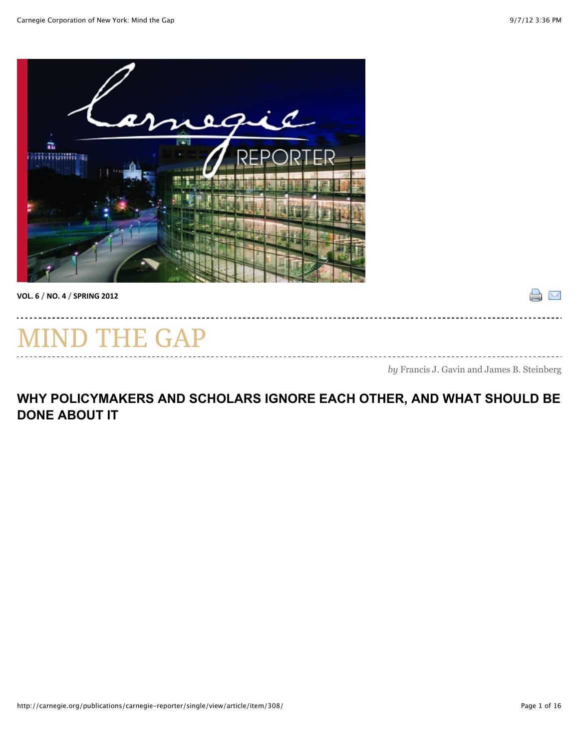$\mathbb{R}^{\mathbb{N}}$ 



**VOL.%6%/%NO.%4%/%SPRING%2012%**

# THE GAP

*by* Francis J. Gavin and James B. Steinberg

#### **WHY POLICYMAKERS AND SCHOLARS IGNORE EACH OTHER, AND WHAT SHOULD BE DONE ABOUT IT**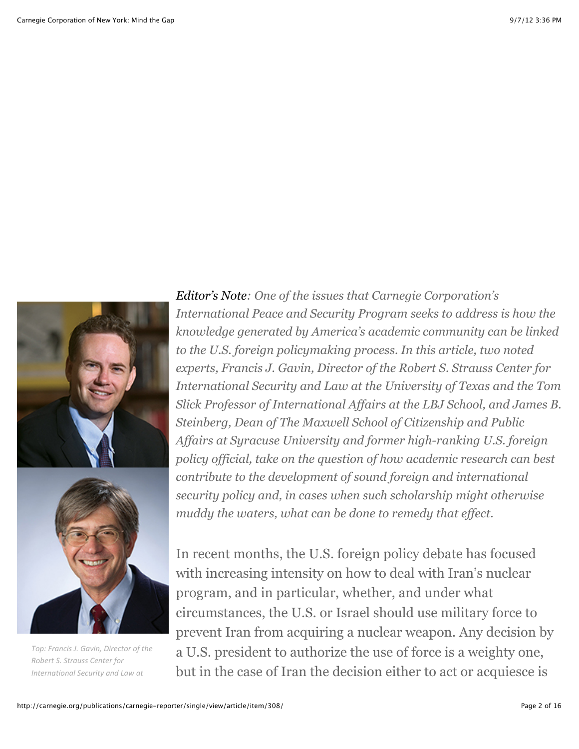

*Top:%Francis%J.%Gavin,%Director%of%the Robert%S.%Strauss%Center%for International%Security%and%Law%at*

*Editor's Note: One of the issues that Carnegie Corporation's International Peace and Security Program seeks to address is how the knowledge generated by America's academic community can be linked to the U.S. foreign policymaking process. In this article, two noted experts, Francis J. Gavin, Director of the Robert S. Strauss Center for International Security and Law at the University of Texas and the Tom Slick Professor of International Affairs at the LBJ School, and James B. Steinberg, Dean of The Maxwell School of Citizenship and Public Affairs at Syracuse University and former high-ranking U.S. foreign policy official, take on the question of how academic research can best contribute to the development of sound foreign and international security policy and, in cases when such scholarship might otherwise muddy the waters, what can be done to remedy that effect.*

In recent months, the U.S. foreign policy debate has focused with increasing intensity on how to deal with Iran's nuclear program, and in particular, whether, and under what circumstances, the U.S. or Israel should use military force to prevent Iran from acquiring a nuclear weapon. Any decision by a U.S. president to authorize the use of force is a weighty one, but in the case of Iran the decision either to act or acquiesce is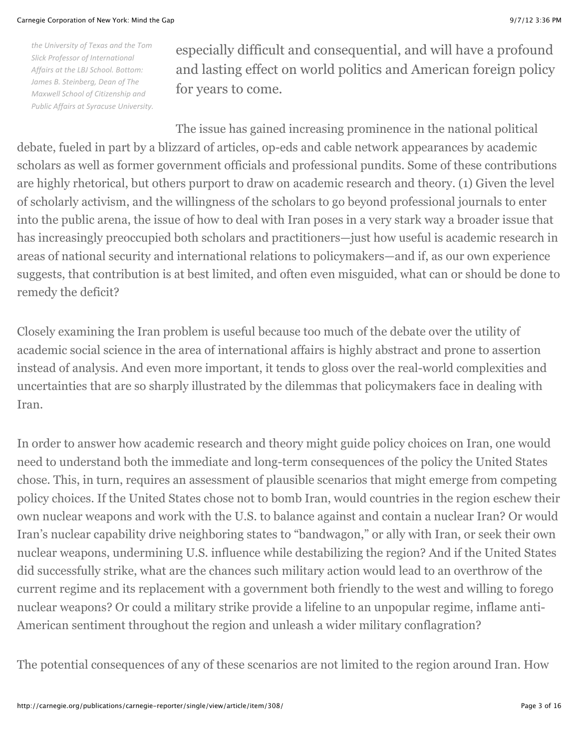*the%University%of%Texas%and%the%Tom* **Slick Professor of International** Affairs at the LBJ School. Bottom: *James B. Steinberg, Dean of The Maxwell%School%of%Citizenship%and Public Affairs at Syracuse University.*  especially difficult and consequential, and will have a profound and lasting effect on world politics and American foreign policy for years to come.

The issue has gained increasing prominence in the national political debate, fueled in part by a blizzard of articles, op-eds and cable network appearances by academic scholars as well as former government officials and professional pundits. Some of these contributions are highly rhetorical, but others purport to draw on academic research and theory. (1) Given the level of scholarly activism, and the willingness of the scholars to go beyond professional journals to enter into the public arena, the issue of how to deal with Iran poses in a very stark way a broader issue that has increasingly preoccupied both scholars and practitioners—just how useful is academic research in areas of national security and international relations to policymakers—and if, as our own experience suggests, that contribution is at best limited, and often even misguided, what can or should be done to remedy the deficit?

Closely examining the Iran problem is useful because too much of the debate over the utility of academic social science in the area of international affairs is highly abstract and prone to assertion instead of analysis. And even more important, it tends to gloss over the real-world complexities and uncertainties that are so sharply illustrated by the dilemmas that policymakers face in dealing with Iran.

In order to answer how academic research and theory might guide policy choices on Iran, one would need to understand both the immediate and long-term consequences of the policy the United States chose. This, in turn, requires an assessment of plausible scenarios that might emerge from competing policy choices. If the United States chose not to bomb Iran, would countries in the region eschew their own nuclear weapons and work with the U.S. to balance against and contain a nuclear Iran? Or would Iran's nuclear capability drive neighboring states to "bandwagon," or ally with Iran, or seek their own nuclear weapons, undermining U.S. influence while destabilizing the region? And if the United States did successfully strike, what are the chances such military action would lead to an overthrow of the current regime and its replacement with a government both friendly to the west and willing to forego nuclear weapons? Or could a military strike provide a lifeline to an unpopular regime, inflame anti-American sentiment throughout the region and unleash a wider military conflagration?

The potential consequences of any of these scenarios are not limited to the region around Iran. How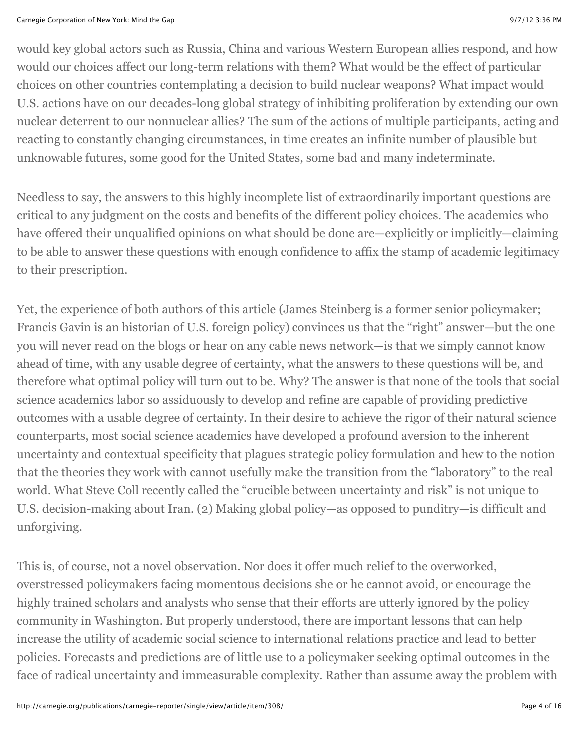would key global actors such as Russia, China and various Western European allies respond, and how would our choices affect our long-term relations with them? What would be the effect of particular choices on other countries contemplating a decision to build nuclear weapons? What impact would U.S. actions have on our decades-long global strategy of inhibiting proliferation by extending our own nuclear deterrent to our nonnuclear allies? The sum of the actions of multiple participants, acting and reacting to constantly changing circumstances, in time creates an infinite number of plausible but unknowable futures, some good for the United States, some bad and many indeterminate.

Needless to say, the answers to this highly incomplete list of extraordinarily important questions are critical to any judgment on the costs and benefits of the different policy choices. The academics who have offered their unqualified opinions on what should be done are—explicitly or implicitly—claiming to be able to answer these questions with enough confidence to affix the stamp of academic legitimacy to their prescription.

Yet, the experience of both authors of this article (James Steinberg is a former senior policymaker; Francis Gavin is an historian of U.S. foreign policy) convinces us that the "right" answer—but the one you will never read on the blogs or hear on any cable news network—is that we simply cannot know ahead of time, with any usable degree of certainty, what the answers to these questions will be, and therefore what optimal policy will turn out to be. Why? The answer is that none of the tools that social science academics labor so assiduously to develop and refine are capable of providing predictive outcomes with a usable degree of certainty. In their desire to achieve the rigor of their natural science counterparts, most social science academics have developed a profound aversion to the inherent uncertainty and contextual specificity that plagues strategic policy formulation and hew to the notion that the theories they work with cannot usefully make the transition from the "laboratory" to the real world. What Steve Coll recently called the "crucible between uncertainty and risk" is not unique to U.S. decision-making about Iran. (2) Making global policy—as opposed to punditry—is difficult and unforgiving.

This is, of course, not a novel observation. Nor does it offer much relief to the overworked, overstressed policymakers facing momentous decisions she or he cannot avoid, or encourage the highly trained scholars and analysts who sense that their efforts are utterly ignored by the policy community in Washington. But properly understood, there are important lessons that can help increase the utility of academic social science to international relations practice and lead to better policies. Forecasts and predictions are of little use to a policymaker seeking optimal outcomes in the face of radical uncertainty and immeasurable complexity. Rather than assume away the problem with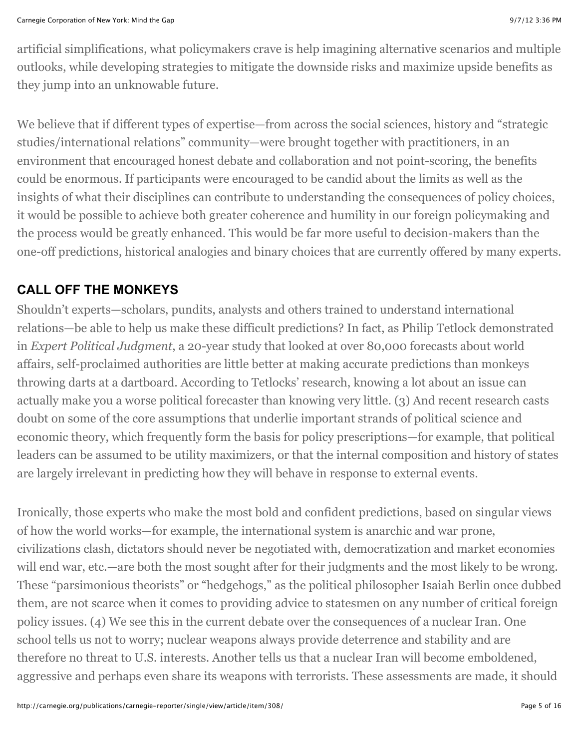artificial simplifications, what policymakers crave is help imagining alternative scenarios and multiple outlooks, while developing strategies to mitigate the downside risks and maximize upside benefits as they jump into an unknowable future.

We believe that if different types of expertise—from across the social sciences, history and "strategic studies/international relations" community—were brought together with practitioners, in an environment that encouraged honest debate and collaboration and not point-scoring, the benefits could be enormous. If participants were encouraged to be candid about the limits as well as the insights of what their disciplines can contribute to understanding the consequences of policy choices, it would be possible to achieve both greater coherence and humility in our foreign policymaking and the process would be greatly enhanced. This would be far more useful to decision-makers than the one-off predictions, historical analogies and binary choices that are currently offered by many experts.

### **CALL OFF THE MONKEYS**

Shouldn't experts—scholars, pundits, analysts and others trained to understand international relations—be able to help us make these difficult predictions? In fact, as Philip Tetlock demonstrated in *Expert Political Judgment*, a 20-year study that looked at over 80,000 forecasts about world affairs, self-proclaimed authorities are little better at making accurate predictions than monkeys throwing darts at a dartboard. According to Tetlocks' research, knowing a lot about an issue can actually make you a worse political forecaster than knowing very little. (3) And recent research casts doubt on some of the core assumptions that underlie important strands of political science and economic theory, which frequently form the basis for policy prescriptions—for example, that political leaders can be assumed to be utility maximizers, or that the internal composition and history of states are largely irrelevant in predicting how they will behave in response to external events.

Ironically, those experts who make the most bold and confident predictions, based on singular views of how the world works—for example, the international system is anarchic and war prone, civilizations clash, dictators should never be negotiated with, democratization and market economies will end war, etc.—are both the most sought after for their judgments and the most likely to be wrong. These "parsimonious theorists" or "hedgehogs," as the political philosopher Isaiah Berlin once dubbed them, are not scarce when it comes to providing advice to statesmen on any number of critical foreign policy issues. (4) We see this in the current debate over the consequences of a nuclear Iran. One school tells us not to worry; nuclear weapons always provide deterrence and stability and are therefore no threat to U.S. interests. Another tells us that a nuclear Iran will become emboldened, aggressive and perhaps even share its weapons with terrorists. These assessments are made, it should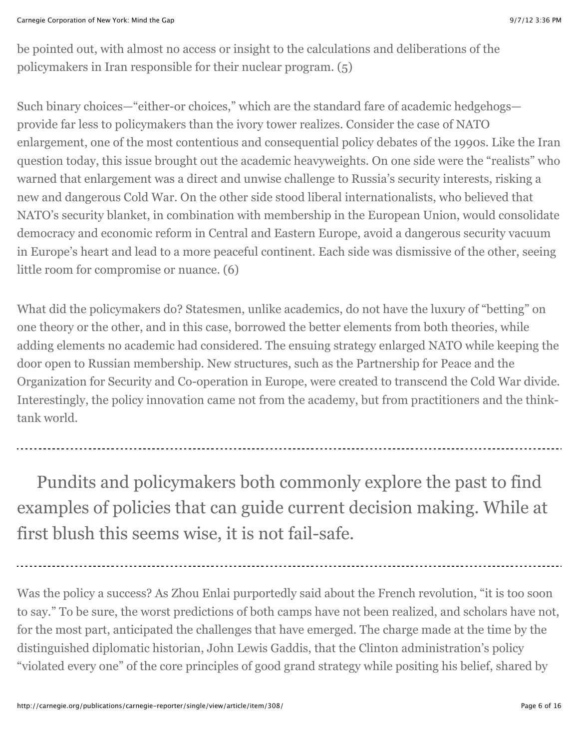be pointed out, with almost no access or insight to the calculations and deliberations of the policymakers in Iran responsible for their nuclear program. (5)

Such binary choices—"either-or choices," which are the standard fare of academic hedgehogs provide far less to policymakers than the ivory tower realizes. Consider the case of NATO enlargement, one of the most contentious and consequential policy debates of the 1990s. Like the Iran question today, this issue brought out the academic heavyweights. On one side were the "realists" who warned that enlargement was a direct and unwise challenge to Russia's security interests, risking a new and dangerous Cold War. On the other side stood liberal internationalists, who believed that NATO's security blanket, in combination with membership in the European Union, would consolidate democracy and economic reform in Central and Eastern Europe, avoid a dangerous security vacuum in Europe's heart and lead to a more peaceful continent. Each side was dismissive of the other, seeing little room for compromise or nuance. (6)

What did the policymakers do? Statesmen, unlike academics, do not have the luxury of "betting" on one theory or the other, and in this case, borrowed the better elements from both theories, while adding elements no academic had considered. The ensuing strategy enlarged NATO while keeping the door open to Russian membership. New structures, such as the Partnership for Peace and the Organization for Security and Co-operation in Europe, were created to transcend the Cold War divide. Interestingly, the policy innovation came not from the academy, but from practitioners and the thinktank world.

Pundits and policymakers both commonly explore the past to find examples of policies that can guide current decision making. While at first blush this seems wise, it is not fail-safe.

Was the policy a success? As Zhou Enlai purportedly said about the French revolution, "it is too soon to say." To be sure, the worst predictions of both camps have not been realized, and scholars have not, for the most part, anticipated the challenges that have emerged. The charge made at the time by the distinguished diplomatic historian, John Lewis Gaddis, that the Clinton administration's policy "violated every one" of the core principles of good grand strategy while positing his belief, shared by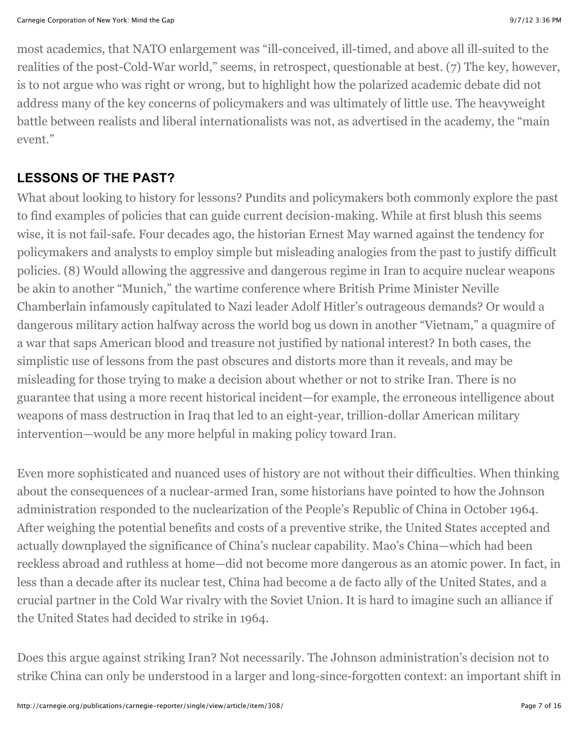most academics, that NATO enlargement was "ill-conceived, ill-timed, and above all ill-suited to the realities of the post-Cold-War world," seems, in retrospect, questionable at best. (7) The key, however, is to not argue who was right or wrong, but to highlight how the polarized academic debate did not address many of the key concerns of policymakers and was ultimately of little use. The heavyweight battle between realists and liberal internationalists was not, as advertised in the academy, the "main event."

#### **LESSONS OF THE PAST?**

What about looking to history for lessons? Pundits and policymakers both commonly explore the past to find examples of policies that can guide current decision-making. While at first blush this seems wise, it is not fail-safe. Four decades ago, the historian Ernest May warned against the tendency for policymakers and analysts to employ simple but misleading analogies from the past to justify difficult policies. (8) Would allowing the aggressive and dangerous regime in Iran to acquire nuclear weapons be akin to another "Munich," the wartime conference where British Prime Minister Neville Chamberlain infamously capitulated to Nazi leader Adolf Hitler's outrageous demands? Or would a dangerous military action halfway across the world bog us down in another "Vietnam," a quagmire of a war that saps American blood and treasure not justified by national interest? In both cases, the simplistic use of lessons from the past obscures and distorts more than it reveals, and may be misleading for those trying to make a decision about whether or not to strike Iran. There is no guarantee that using a more recent historical incident—for example, the erroneous intelligence about weapons of mass destruction in Iraq that led to an eight-year, trillion-dollar American military intervention—would be any more helpful in making policy toward Iran.

Even more sophisticated and nuanced uses of history are not without their difficulties. When thinking about the consequences of a nuclear-armed Iran, some historians have pointed to how the Johnson administration responded to the nuclearization of the People's Republic of China in October 1964. After weighing the potential benefits and costs of a preventive strike, the United States accepted and actually downplayed the significance of China's nuclear capability. Mao's China—which had been reckless abroad and ruthless at home—did not become more dangerous as an atomic power. In fact, in less than a decade after its nuclear test, China had become a de facto ally of the United States, and a crucial partner in the Cold War rivalry with the Soviet Union. It is hard to imagine such an alliance if the United States had decided to strike in 1964.

Does this argue against striking Iran? Not necessarily. The Johnson administration's decision not to strike China can only be understood in a larger and long-since-forgotten context: an important shift in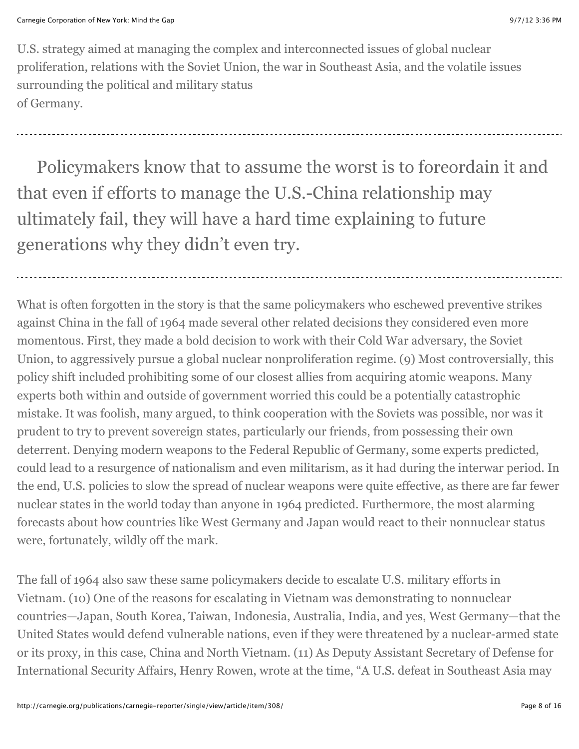U.S. strategy aimed at managing the complex and interconnected issues of global nuclear proliferation, relations with the Soviet Union, the war in Southeast Asia, and the volatile issues surrounding the political and military status of Germany.

Policymakers know that to assume the worst is to foreordain it and that even if efforts to manage the U.S.-China relationship may ultimately fail, they will have a hard time explaining to future generations why they didn't even try.

What is often forgotten in the story is that the same policymakers who eschewed preventive strikes against China in the fall of 1964 made several other related decisions they considered even more momentous. First, they made a bold decision to work with their Cold War adversary, the Soviet Union, to aggressively pursue a global nuclear nonproliferation regime. (9) Most controversially, this policy shift included prohibiting some of our closest allies from acquiring atomic weapons. Many experts both within and outside of government worried this could be a potentially catastrophic mistake. It was foolish, many argued, to think cooperation with the Soviets was possible, nor was it prudent to try to prevent sovereign states, particularly our friends, from possessing their own deterrent. Denying modern weapons to the Federal Republic of Germany, some experts predicted, could lead to a resurgence of nationalism and even militarism, as it had during the interwar period. In the end, U.S. policies to slow the spread of nuclear weapons were quite effective, as there are far fewer nuclear states in the world today than anyone in 1964 predicted. Furthermore, the most alarming forecasts about how countries like West Germany and Japan would react to their nonnuclear status were, fortunately, wildly off the mark.

The fall of 1964 also saw these same policymakers decide to escalate U.S. military efforts in Vietnam. (10) One of the reasons for escalating in Vietnam was demonstrating to nonnuclear countries—Japan, South Korea, Taiwan, Indonesia, Australia, India, and yes, West Germany—that the United States would defend vulnerable nations, even if they were threatened by a nuclear-armed state or its proxy, in this case, China and North Vietnam. (11) As Deputy Assistant Secretary of Defense for International Security Affairs, Henry Rowen, wrote at the time, "A U.S. defeat in Southeast Asia may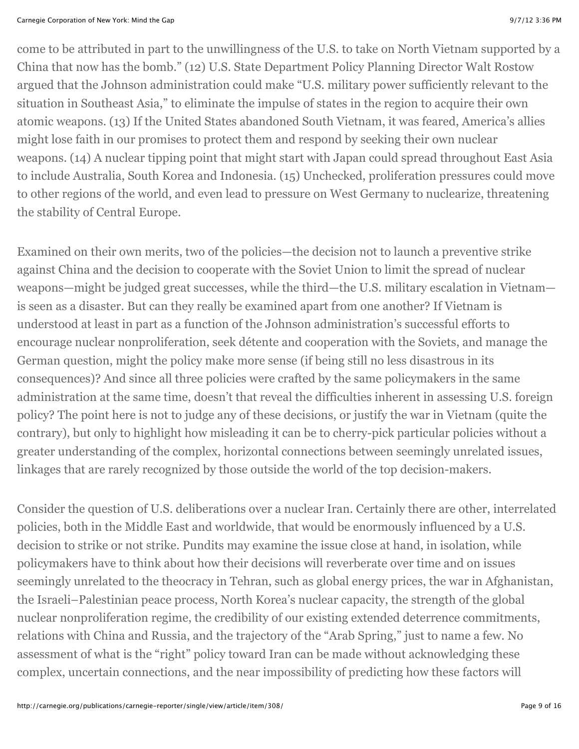come to be attributed in part to the unwillingness of the U.S. to take on North Vietnam supported by a China that now has the bomb." (12) U.S. State Department Policy Planning Director Walt Rostow argued that the Johnson administration could make "U.S. military power sufficiently relevant to the situation in Southeast Asia," to eliminate the impulse of states in the region to acquire their own atomic weapons. (13) If the United States abandoned South Vietnam, it was feared, America's allies might lose faith in our promises to protect them and respond by seeking their own nuclear weapons. (14) A nuclear tipping point that might start with Japan could spread throughout East Asia to include Australia, South Korea and Indonesia. (15) Unchecked, proliferation pressures could move to other regions of the world, and even lead to pressure on West Germany to nuclearize, threatening the stability of Central Europe.

Examined on their own merits, two of the policies—the decision not to launch a preventive strike against China and the decision to cooperate with the Soviet Union to limit the spread of nuclear weapons—might be judged great successes, while the third—the U.S. military escalation in Vietnam is seen as a disaster. But can they really be examined apart from one another? If Vietnam is understood at least in part as a function of the Johnson administration's successful efforts to encourage nuclear nonproliferation, seek détente and cooperation with the Soviets, and manage the German question, might the policy make more sense (if being still no less disastrous in its consequences)? And since all three policies were crafted by the same policymakers in the same administration at the same time, doesn't that reveal the difficulties inherent in assessing U.S. foreign policy? The point here is not to judge any of these decisions, or justify the war in Vietnam (quite the contrary), but only to highlight how misleading it can be to cherry-pick particular policies without a greater understanding of the complex, horizontal connections between seemingly unrelated issues, linkages that are rarely recognized by those outside the world of the top decision-makers.

Consider the question of U.S. deliberations over a nuclear Iran. Certainly there are other, interrelated policies, both in the Middle East and worldwide, that would be enormously influenced by a U.S. decision to strike or not strike. Pundits may examine the issue close at hand, in isolation, while policymakers have to think about how their decisions will reverberate over time and on issues seemingly unrelated to the theocracy in Tehran, such as global energy prices, the war in Afghanistan, the Israeli–Palestinian peace process, North Korea's nuclear capacity, the strength of the global nuclear nonproliferation regime, the credibility of our existing extended deterrence commitments, relations with China and Russia, and the trajectory of the "Arab Spring," just to name a few. No assessment of what is the "right" policy toward Iran can be made without acknowledging these complex, uncertain connections, and the near impossibility of predicting how these factors will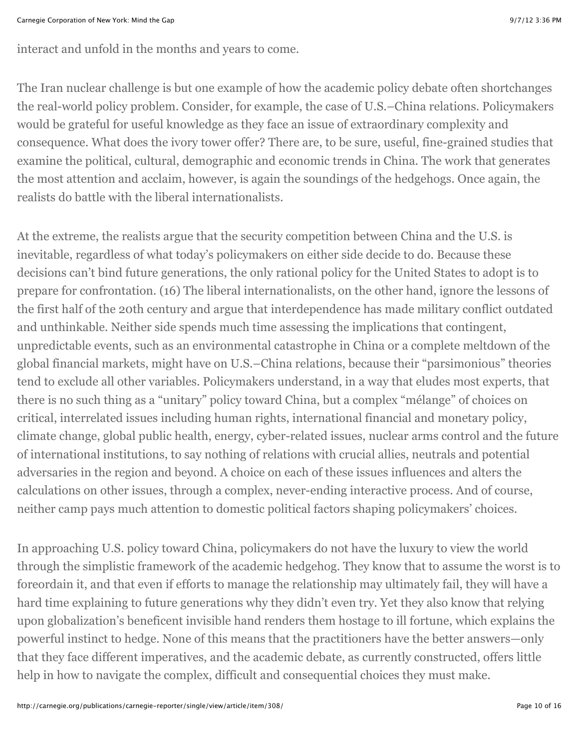interact and unfold in the months and years to come.

The Iran nuclear challenge is but one example of how the academic policy debate often shortchanges the real-world policy problem. Consider, for example, the case of U.S.–China relations. Policymakers would be grateful for useful knowledge as they face an issue of extraordinary complexity and consequence. What does the ivory tower offer? There are, to be sure, useful, fine-grained studies that examine the political, cultural, demographic and economic trends in China. The work that generates the most attention and acclaim, however, is again the soundings of the hedgehogs. Once again, the realists do battle with the liberal internationalists.

At the extreme, the realists argue that the security competition between China and the U.S. is inevitable, regardless of what today's policymakers on either side decide to do. Because these decisions can't bind future generations, the only rational policy for the United States to adopt is to prepare for confrontation. (16) The liberal internationalists, on the other hand, ignore the lessons of the first half of the 20th century and argue that interdependence has made military conflict outdated and unthinkable. Neither side spends much time assessing the implications that contingent, unpredictable events, such as an environmental catastrophe in China or a complete meltdown of the global financial markets, might have on U.S.–China relations, because their "parsimonious" theories tend to exclude all other variables. Policymakers understand, in a way that eludes most experts, that there is no such thing as a "unitary" policy toward China, but a complex "mélange" of choices on critical, interrelated issues including human rights, international financial and monetary policy, climate change, global public health, energy, cyber-related issues, nuclear arms control and the future of international institutions, to say nothing of relations with crucial allies, neutrals and potential adversaries in the region and beyond. A choice on each of these issues influences and alters the calculations on other issues, through a complex, never-ending interactive process. And of course, neither camp pays much attention to domestic political factors shaping policymakers' choices.

In approaching U.S. policy toward China, policymakers do not have the luxury to view the world through the simplistic framework of the academic hedgehog. They know that to assume the worst is to foreordain it, and that even if efforts to manage the relationship may ultimately fail, they will have a hard time explaining to future generations why they didn't even try. Yet they also know that relying upon globalization's beneficent invisible hand renders them hostage to ill fortune, which explains the powerful instinct to hedge. None of this means that the practitioners have the better answers—only that they face different imperatives, and the academic debate, as currently constructed, offers little help in how to navigate the complex, difficult and consequential choices they must make.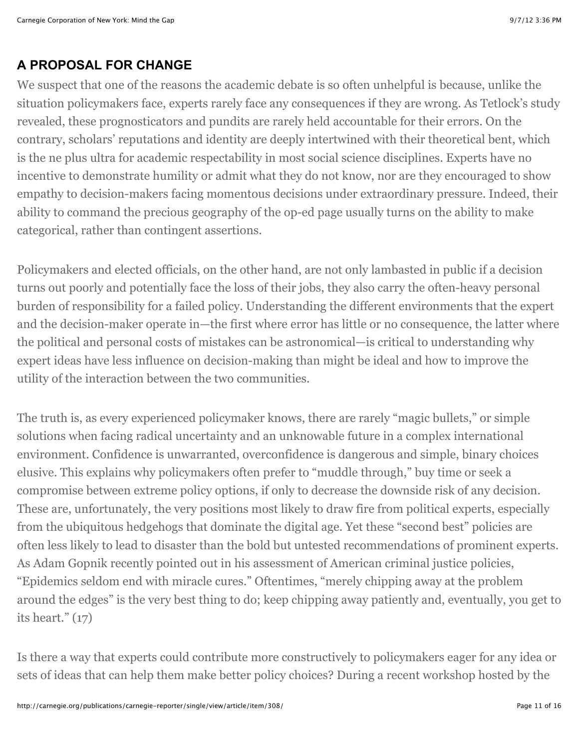#### **A PROPOSAL FOR CHANGE**

We suspect that one of the reasons the academic debate is so often unhelpful is because, unlike the situation policymakers face, experts rarely face any consequences if they are wrong. As Tetlock's study revealed, these prognosticators and pundits are rarely held accountable for their errors. On the contrary, scholars' reputations and identity are deeply intertwined with their theoretical bent, which is the ne plus ultra for academic respectability in most social science disciplines. Experts have no incentive to demonstrate humility or admit what they do not know, nor are they encouraged to show empathy to decision-makers facing momentous decisions under extraordinary pressure. Indeed, their ability to command the precious geography of the op-ed page usually turns on the ability to make categorical, rather than contingent assertions.

Policymakers and elected officials, on the other hand, are not only lambasted in public if a decision turns out poorly and potentially face the loss of their jobs, they also carry the often-heavy personal burden of responsibility for a failed policy. Understanding the different environments that the expert and the decision-maker operate in—the first where error has little or no consequence, the latter where the political and personal costs of mistakes can be astronomical—is critical to understanding why expert ideas have less influence on decision-making than might be ideal and how to improve the utility of the interaction between the two communities.

The truth is, as every experienced policymaker knows, there are rarely "magic bullets," or simple solutions when facing radical uncertainty and an unknowable future in a complex international environment. Confidence is unwarranted, overconfidence is dangerous and simple, binary choices elusive. This explains why policymakers often prefer to "muddle through," buy time or seek a compromise between extreme policy options, if only to decrease the downside risk of any decision. These are, unfortunately, the very positions most likely to draw fire from political experts, especially from the ubiquitous hedgehogs that dominate the digital age. Yet these "second best" policies are often less likely to lead to disaster than the bold but untested recommendations of prominent experts. As Adam Gopnik recently pointed out in his assessment of American criminal justice policies, "Epidemics seldom end with miracle cures." Oftentimes, "merely chipping away at the problem around the edges" is the very best thing to do; keep chipping away patiently and, eventually, you get to its heart." (17)

Is there a way that experts could contribute more constructively to policymakers eager for any idea or sets of ideas that can help them make better policy choices? During a recent workshop hosted by the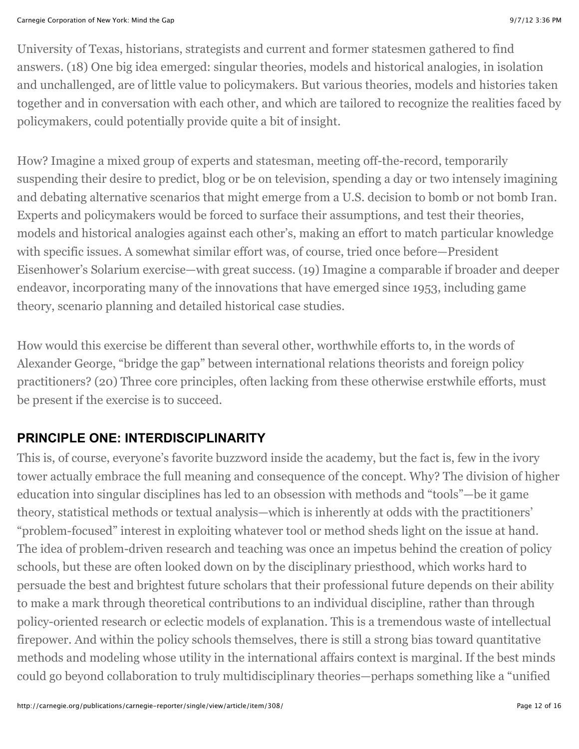University of Texas, historians, strategists and current and former statesmen gathered to find answers. (18) One big idea emerged: singular theories, models and historical analogies, in isolation and unchallenged, are of little value to policymakers. But various theories, models and histories taken together and in conversation with each other, and which are tailored to recognize the realities faced by policymakers, could potentially provide quite a bit of insight.

How? Imagine a mixed group of experts and statesman, meeting off-the-record, temporarily suspending their desire to predict, blog or be on television, spending a day or two intensely imagining and debating alternative scenarios that might emerge from a U.S. decision to bomb or not bomb Iran. Experts and policymakers would be forced to surface their assumptions, and test their theories, models and historical analogies against each other's, making an effort to match particular knowledge with specific issues. A somewhat similar effort was, of course, tried once before—President Eisenhower's Solarium exercise—with great success. (19) Imagine a comparable if broader and deeper endeavor, incorporating many of the innovations that have emerged since 1953, including game theory, scenario planning and detailed historical case studies.

How would this exercise be different than several other, worthwhile efforts to, in the words of Alexander George, "bridge the gap" between international relations theorists and foreign policy practitioners? (20) Three core principles, often lacking from these otherwise erstwhile efforts, must be present if the exercise is to succeed.

# **PRINCIPLE ONE: INTERDISCIPLINARITY**

This is, of course, everyone's favorite buzzword inside the academy, but the fact is, few in the ivory tower actually embrace the full meaning and consequence of the concept. Why? The division of higher education into singular disciplines has led to an obsession with methods and "tools"—be it game theory, statistical methods or textual analysis—which is inherently at odds with the practitioners' "problem-focused" interest in exploiting whatever tool or method sheds light on the issue at hand. The idea of problem-driven research and teaching was once an impetus behind the creation of policy schools, but these are often looked down on by the disciplinary priesthood, which works hard to persuade the best and brightest future scholars that their professional future depends on their ability to make a mark through theoretical contributions to an individual discipline, rather than through policy-oriented research or eclectic models of explanation. This is a tremendous waste of intellectual firepower. And within the policy schools themselves, there is still a strong bias toward quantitative methods and modeling whose utility in the international affairs context is marginal. If the best minds could go beyond collaboration to truly multidisciplinary theories—perhaps something like a "unified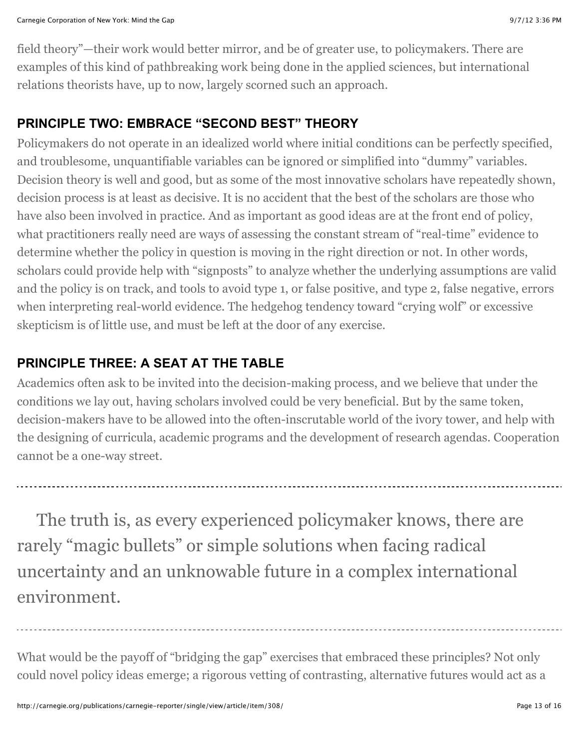field theory"—their work would better mirror, and be of greater use, to policymakers. There are examples of this kind of pathbreaking work being done in the applied sciences, but international relations theorists have, up to now, largely scorned such an approach.

#### **PRINCIPLE TWO: EMBRACE "SECOND BEST" THEORY**

Policymakers do not operate in an idealized world where initial conditions can be perfectly specified, and troublesome, unquantifiable variables can be ignored or simplified into "dummy" variables. Decision theory is well and good, but as some of the most innovative scholars have repeatedly shown, decision process is at least as decisive. It is no accident that the best of the scholars are those who have also been involved in practice. And as important as good ideas are at the front end of policy, what practitioners really need are ways of assessing the constant stream of "real-time" evidence to determine whether the policy in question is moving in the right direction or not. In other words, scholars could provide help with "signposts" to analyze whether the underlying assumptions are valid and the policy is on track, and tools to avoid type 1, or false positive, and type 2, false negative, errors when interpreting real-world evidence. The hedgehog tendency toward "crying wolf" or excessive skepticism is of little use, and must be left at the door of any exercise.

# **PRINCIPLE THREE: A SEAT AT THE TABLE**

Academics often ask to be invited into the decision-making process, and we believe that under the conditions we lay out, having scholars involved could be very beneficial. But by the same token, decision-makers have to be allowed into the often-inscrutable world of the ivory tower, and help with the designing of curricula, academic programs and the development of research agendas. Cooperation cannot be a one-way street.

The truth is, as every experienced policymaker knows, there are rarely "magic bullets" or simple solutions when facing radical uncertainty and an unknowable future in a complex international environment.

What would be the payoff of "bridging the gap" exercises that embraced these principles? Not only could novel policy ideas emerge; a rigorous vetting of contrasting, alternative futures would act as a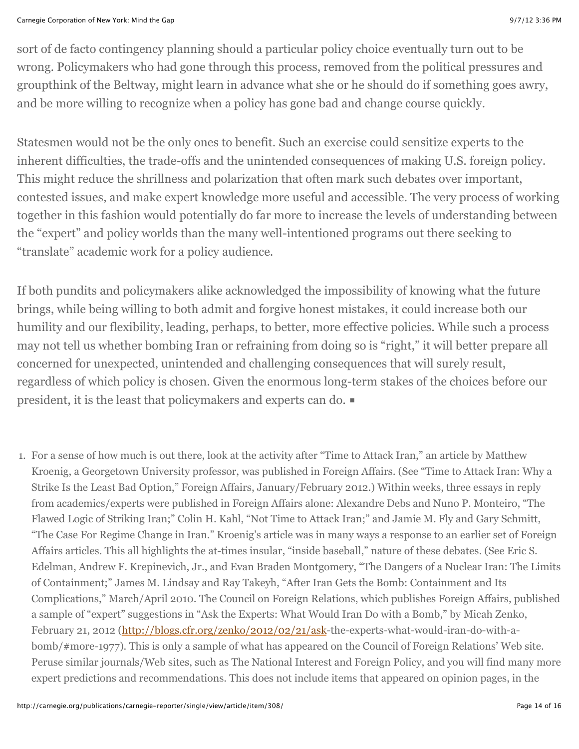sort of de facto contingency planning should a particular policy choice eventually turn out to be wrong. Policymakers who had gone through this process, removed from the political pressures and groupthink of the Beltway, might learn in advance what she or he should do if something goes awry, and be more willing to recognize when a policy has gone bad and change course quickly.

Statesmen would not be the only ones to benefit. Such an exercise could sensitize experts to the inherent difficulties, the trade-offs and the unintended consequences of making U.S. foreign policy. This might reduce the shrillness and polarization that often mark such debates over important, contested issues, and make expert knowledge more useful and accessible. The very process of working together in this fashion would potentially do far more to increase the levels of understanding between the "expert" and policy worlds than the many well-intentioned programs out there seeking to "translate" academic work for a policy audience.

If both pundits and policymakers alike acknowledged the impossibility of knowing what the future brings, while being willing to both admit and forgive honest mistakes, it could increase both our humility and our flexibility, leading, perhaps, to better, more effective policies. While such a process may not tell us whether bombing Iran or refraining from doing so is "right," it will better prepare all concerned for unexpected, unintended and challenging consequences that will surely result, regardless of which policy is chosen. Given the enormous long-term stakes of the choices before our president, it is the least that policymakers and experts can do. ■

1. For a sense of how much is out there, look at the activity after "Time to Attack Iran," an article by Matthew Kroenig, a Georgetown University professor, was published in Foreign Affairs. (See "Time to Attack Iran: Why a Strike Is the Least Bad Option," Foreign Affairs, January/February 2012.) Within weeks, three essays in reply from academics/experts were published in Foreign Affairs alone: Alexandre Debs and Nuno P. Monteiro, "The Flawed Logic of Striking Iran;" Colin H. Kahl, "Not Time to Attack Iran;" and Jamie M. Fly and Gary Schmitt, "The Case For Regime Change in Iran." Kroenig's article was in many ways a response to an earlier set of Foreign Affairs articles. This all highlights the at-times insular, "inside baseball," nature of these debates. (See Eric S. Edelman, Andrew F. Krepinevich, Jr., and Evan Braden Montgomery, "The Dangers of a Nuclear Iran: The Limits of Containment;" James M. Lindsay and Ray Takeyh, "After Iran Gets the Bomb: Containment and Its Complications," March/April 2010. The Council on Foreign Relations, which publishes Foreign Affairs, published a sample of "expert" suggestions in "Ask the Experts: What Would Iran Do with a Bomb," by Micah Zenko, February 21, 2012 [\(http://blogs.cfr.org/zenko/2012/02/21/ask-](http://blogs.cfr.org/zenko/2012/02/21/ask)the-experts-what-would-iran-do-with-abomb/#more-1977). This is only a sample of what has appeared on the Council of Foreign Relations' Web site. Peruse similar journals/Web sites, such as The National Interest and Foreign Policy, and you will find many more expert predictions and recommendations. This does not include items that appeared on opinion pages, in the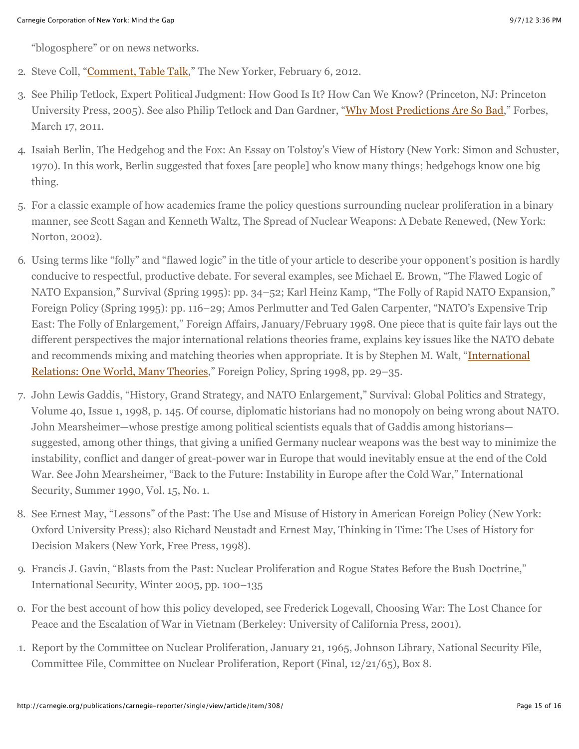"blogosphere" or on news networks.

- 2. Steve Coll, ["Comment, Table Talk,](http://www.newyorker.com/talk/comment/2012/02/06/120206taco_talk_coll)" The New Yorker, February 6, 2012.
- 3. See Philip Tetlock, Expert Political Judgment: How Good Is It? How Can We Know? (Princeton, NJ: Princeton University Press, 2005). See also Philip Tetlock and Dan Gardner, ["Why Most Predictions Are So Bad,](http://www.forbes.com/2011/03/17/why-predictions-bad-leadership-managing-forecast.html)" Forbes, March 17, 2011.
- 4. Isaiah Berlin, The Hedgehog and the Fox: An Essay on Tolstoy's View of History (New York: Simon and Schuster, 1970). In this work, Berlin suggested that foxes [are people] who know many things; hedgehogs know one big thing.
- 5. For a classic example of how academics frame the policy questions surrounding nuclear proliferation in a binary manner, see Scott Sagan and Kenneth Waltz, The Spread of Nuclear Weapons: A Debate Renewed, (New York: Norton, 2002).
- 6. Using terms like "folly" and "flawed logic" in the title of your article to describe your opponent's position is hardly conducive to respectful, productive debate. For several examples, see Michael E. Brown, "The Flawed Logic of NATO Expansion," Survival (Spring 1995): pp. 34–52; Karl Heinz Kamp, "The Folly of Rapid NATO Expansion," Foreign Policy (Spring 1995): pp. 116–29; Amos Perlmutter and Ted Galen Carpenter, "NATO's Expensive Trip East: The Folly of Enlargement," Foreign Affairs, January/February 1998. One piece that is quite fair lays out the different perspectives the major international relations theories frame, explains key issues like the NATO debate [and recommends mixing and matching theories when appropriate. It is by Stephen M. Walt, "International](http://www.columbia.edu/itc/sipa/S6800/courseworks/foreign_pol_walt.pdf.) Relations: One World, Many Theories," Foreign Policy, Spring 1998, pp. 29–35.
- 7. John Lewis Gaddis, "History, Grand Strategy, and NATO Enlargement," Survival: Global Politics and Strategy, Volume 40, Issue 1, 1998, p. 145. Of course, diplomatic historians had no monopoly on being wrong about NATO. John Mearsheimer—whose prestige among political scientists equals that of Gaddis among historians suggested, among other things, that giving a unified Germany nuclear weapons was the best way to minimize the instability, conflict and danger of great-power war in Europe that would inevitably ensue at the end of the Cold War. See John Mearsheimer, "Back to the Future: Instability in Europe after the Cold War," International Security, Summer 1990, Vol. 15, No. 1.
- 8. See Ernest May, "Lessons" of the Past: The Use and Misuse of History in American Foreign Policy (New York: Oxford University Press); also Richard Neustadt and Ernest May, Thinking in Time: The Uses of History for Decision Makers (New York, Free Press, 1998).
- 9. Francis J. Gavin, "Blasts from the Past: Nuclear Proliferation and Rogue States Before the Bush Doctrine," International Security, Winter 2005, pp. 100–135
- 10. For the best account of how this policy developed, see Frederick Logevall, Choosing War: The Lost Chance for Peace and the Escalation of War in Vietnam (Berkeley: University of California Press, 2001).
- 11. Report by the Committee on Nuclear Proliferation, January 21, 1965, Johnson Library, National Security File, Committee File, Committee on Nuclear Proliferation, Report (Final, 12/21/65), Box 8.